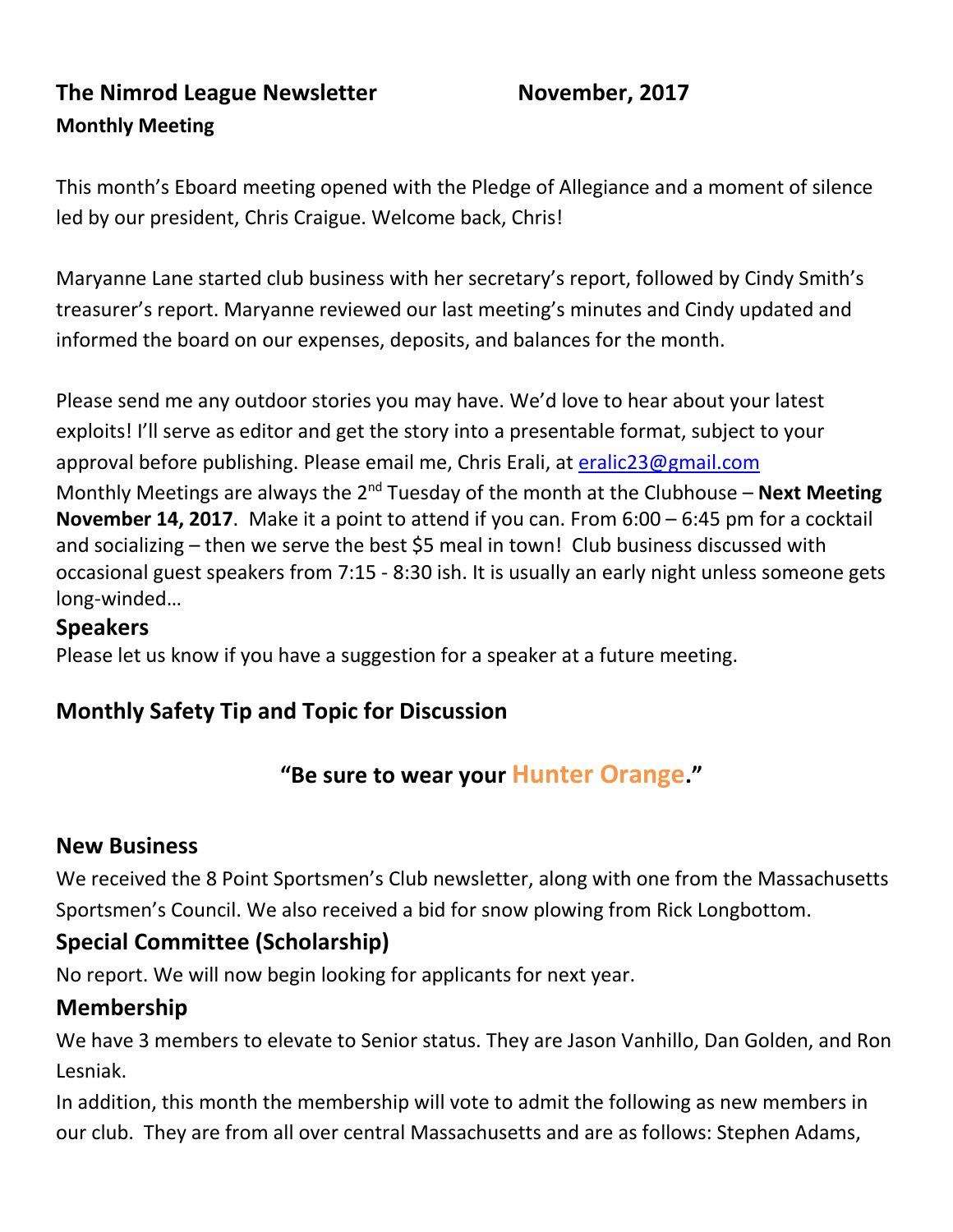## **The Nimrod League Newsletter Movember, 2017 Monthly Meeting**

This month's Eboard meeting opened with the Pledge of Allegiance and a moment of silence led by our president, Chris Craigue. Welcome back, Chris!

Maryanne Lane started club business with her secretary's report, followed by Cindy Smith's treasurer's report. Maryanne reviewed our last meeting's minutes and Cindy updated and informed the board on our expenses, deposits, and balances for the month.

Please send me any outdoor stories you may have. We'd love to hear about your latest exploits! I'll serve as editor and get the story into a presentable format, subject to your approval before publishing. Please email me, Chris Erali, at [eralic23@gmail.com](mailto:eralic23@gmail.com) Monthly Meetings are always the 2<sup>nd</sup> Tuesday of the month at the Clubhouse – **Next Meeting November 14, 2017**. Make it a point to attend if you can. From 6:00 – 6:45 pm for a cocktail and socializing – then we serve the best \$5 meal in town! Club business discussed with occasional guest speakers from 7:15 - 8:30 ish. It is usually an early night unless someone gets long-winded…

#### **Speakers**

Please let us know if you have a suggestion for a speaker at a future meeting.

### **Monthly Safety Tip and Topic for Discussion**

### **"Be sure to wear your Hunter Orange."**

#### **New Business**

We received the 8 Point Sportsmen's Club newsletter, along with one from the Massachusetts Sportsmen's Council. We also received a bid for snow plowing from Rick Longbottom.

### **Special Committee (Scholarship)**

No report. We will now begin looking for applicants for next year.

#### **Membership**

We have 3 members to elevate to Senior status. They are Jason Vanhillo, Dan Golden, and Ron Lesniak.

In addition, this month the membership will vote to admit the following as new members in our club. They are from all over central Massachusetts and are as follows: Stephen Adams,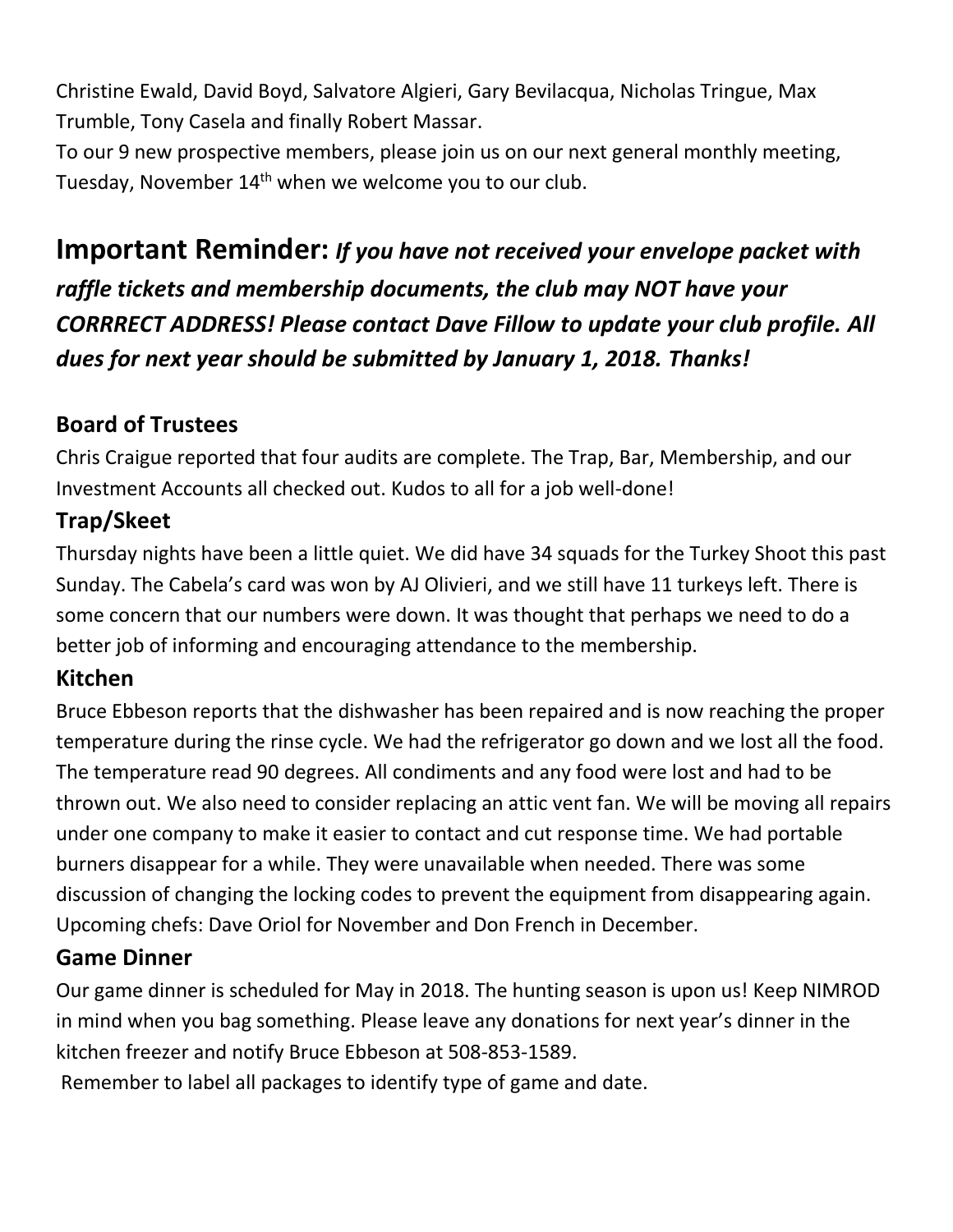Christine Ewald, David Boyd, Salvatore Algieri, Gary Bevilacqua, Nicholas Tringue, Max Trumble, Tony Casela and finally Robert Massar.

To our 9 new prospective members, please join us on our next general monthly meeting, Tuesday, November 14<sup>th</sup> when we welcome you to our club.

# **Important Reminder:** *If you have not received your envelope packet with raffle tickets and membership documents, the club may NOT have your CORRRECT ADDRESS! Please contact Dave Fillow to update your club profile. All dues for next year should be submitted by January 1, 2018. Thanks!*

## **Board of Trustees**

Chris Craigue reported that four audits are complete. The Trap, Bar, Membership, and our Investment Accounts all checked out. Kudos to all for a job well-done!

## **Trap/Skeet**

Thursday nights have been a little quiet. We did have 34 squads for the Turkey Shoot this past Sunday. The Cabela's card was won by AJ Olivieri, and we still have 11 turkeys left. There is some concern that our numbers were down. It was thought that perhaps we need to do a better job of informing and encouraging attendance to the membership.

## **Kitchen**

Bruce Ebbeson reports that the dishwasher has been repaired and is now reaching the proper temperature during the rinse cycle. We had the refrigerator go down and we lost all the food. The temperature read 90 degrees. All condiments and any food were lost and had to be thrown out. We also need to consider replacing an attic vent fan. We will be moving all repairs under one company to make it easier to contact and cut response time. We had portable burners disappear for a while. They were unavailable when needed. There was some discussion of changing the locking codes to prevent the equipment from disappearing again. Upcoming chefs: Dave Oriol for November and Don French in December.

## **Game Dinner**

Our game dinner is scheduled for May in 2018. The hunting season is upon us! Keep NIMROD in mind when you bag something. Please leave any donations for next year's dinner in the kitchen freezer and notify Bruce Ebbeson at 508-853-1589.

Remember to label all packages to identify type of game and date.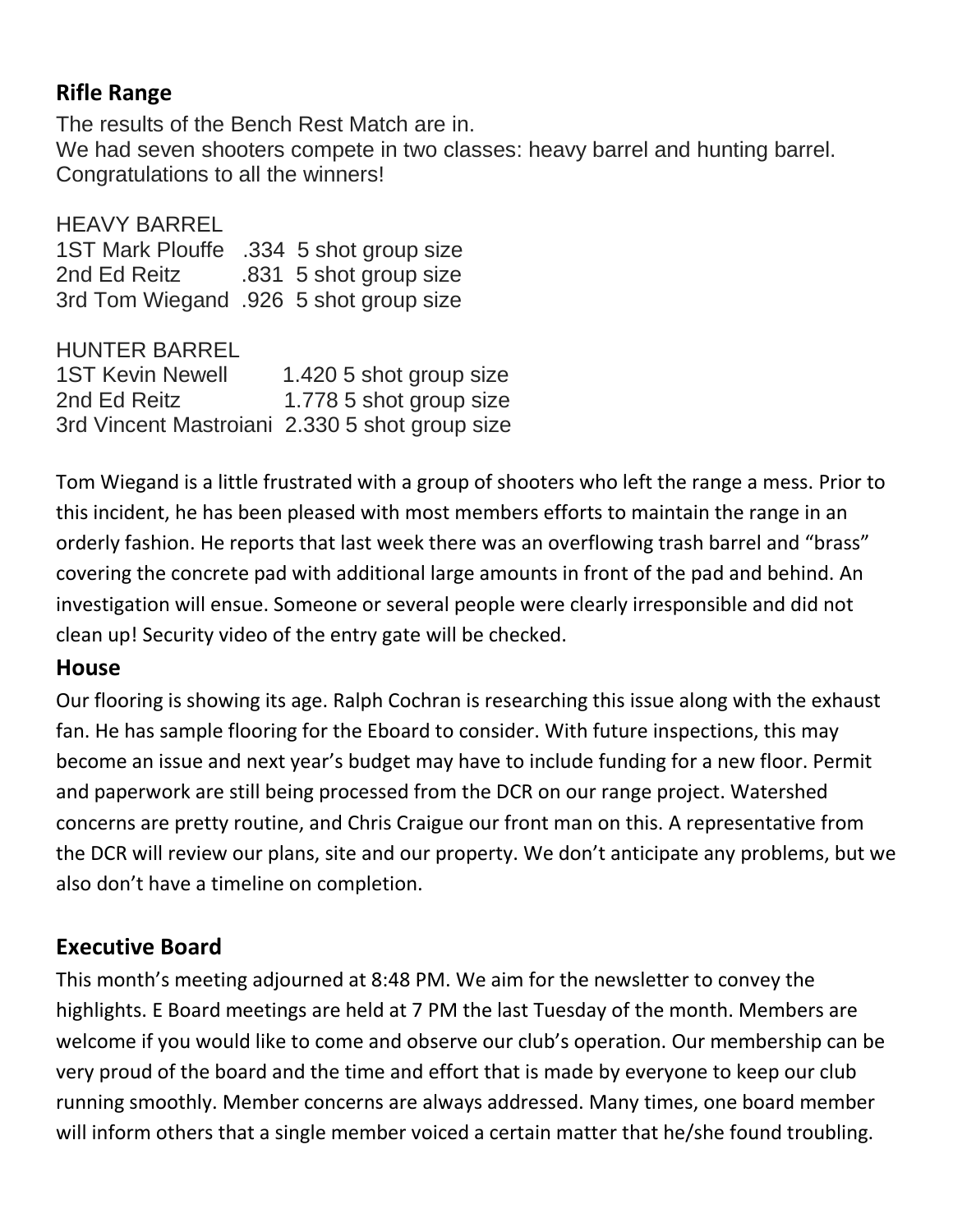## **Rifle Range**

The results of the Bench Rest Match are in. We had seven shooters compete in two classes: heavy barrel and hunting barrel. Congratulations to all the winners!

HEAVY BARREL 1ST Mark Plouffe .334 5 shot group size 2nd Ed Reitz .831 5 shot group size 3rd Tom Wiegand .926 5 shot group size

HUNTER BARREL

1ST Kevin Newell 1.420 5 shot group size 2nd Ed Reitz 1.778 5 shot group size 3rd Vincent Mastroiani 2.330 5 shot group size

Tom Wiegand is a little frustrated with a group of shooters who left the range a mess. Prior to this incident, he has been pleased with most members efforts to maintain the range in an orderly fashion. He reports that last week there was an overflowing trash barrel and "brass" covering the concrete pad with additional large amounts in front of the pad and behind. An investigation will ensue. Someone or several people were clearly irresponsible and did not clean up! Security video of the entry gate will be checked.

#### **House**

Our flooring is showing its age. Ralph Cochran is researching this issue along with the exhaust fan. He has sample flooring for the Eboard to consider. With future inspections, this may become an issue and next year's budget may have to include funding for a new floor. Permit and paperwork are still being processed from the DCR on our range project. Watershed concerns are pretty routine, and Chris Craigue our front man on this. A representative from the DCR will review our plans, site and our property. We don't anticipate any problems, but we also don't have a timeline on completion.

### **Executive Board**

This month's meeting adjourned at 8:48 PM. We aim for the newsletter to convey the highlights. E Board meetings are held at 7 PM the last Tuesday of the month. Members are welcome if you would like to come and observe our club's operation. Our membership can be very proud of the board and the time and effort that is made by everyone to keep our club running smoothly. Member concerns are always addressed. Many times, one board member will inform others that a single member voiced a certain matter that he/she found troubling.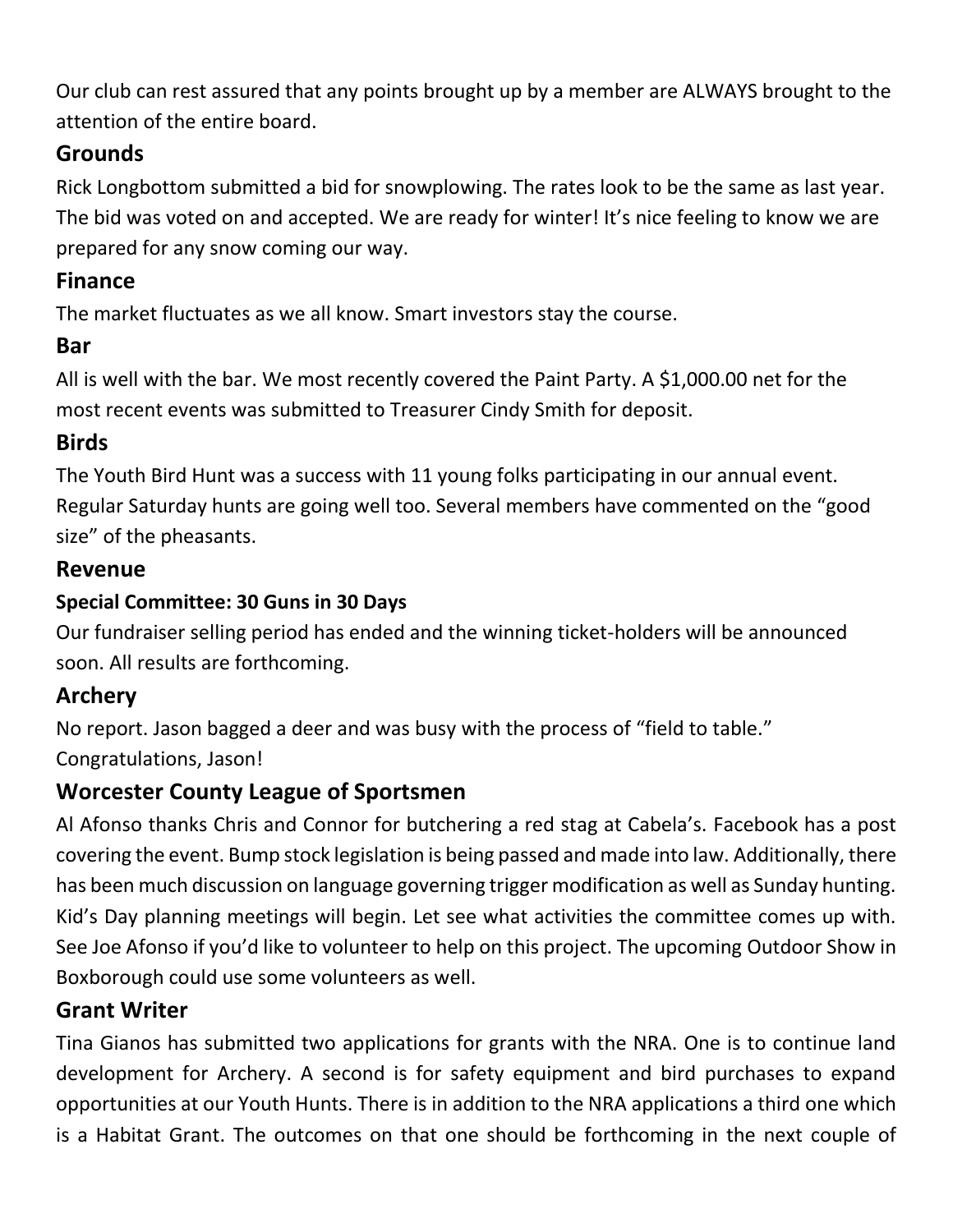Our club can rest assured that any points brought up by a member are ALWAYS brought to the attention of the entire board.

## **Grounds**

Rick Longbottom submitted a bid for snowplowing. The rates look to be the same as last year. The bid was voted on and accepted. We are ready for winter! It's nice feeling to know we are prepared for any snow coming our way.

## **Finance**

The market fluctuates as we all know. Smart investors stay the course.

## **Bar**

All is well with the bar. We most recently covered the Paint Party. A \$1,000.00 net for the most recent events was submitted to Treasurer Cindy Smith for deposit.

## **Birds**

The Youth Bird Hunt was a success with 11 young folks participating in our annual event. Regular Saturday hunts are going well too. Several members have commented on the "good size" of the pheasants.

## **Revenue**

## **Special Committee: 30 Guns in 30 Days**

Our fundraiser selling period has ended and the winning ticket-holders will be announced soon. All results are forthcoming.

## **Archery**

No report. Jason bagged a deer and was busy with the process of "field to table." Congratulations, Jason!

## **Worcester County League of Sportsmen**

Al Afonso thanks Chris and Connor for butchering a red stag at Cabela's. Facebook has a post covering the event. Bump stock legislation is being passed and made into law. Additionally, there has been much discussion on language governing trigger modification as well as Sunday hunting. Kid's Day planning meetings will begin. Let see what activities the committee comes up with. See Joe Afonso if you'd like to volunteer to help on this project. The upcoming Outdoor Show in Boxborough could use some volunteers as well.

## **Grant Writer**

Tina Gianos has submitted two applications for grants with the NRA. One is to continue land development for Archery. A second is for safety equipment and bird purchases to expand opportunities at our Youth Hunts. There is in addition to the NRA applications a third one which is a Habitat Grant. The outcomes on that one should be forthcoming in the next couple of